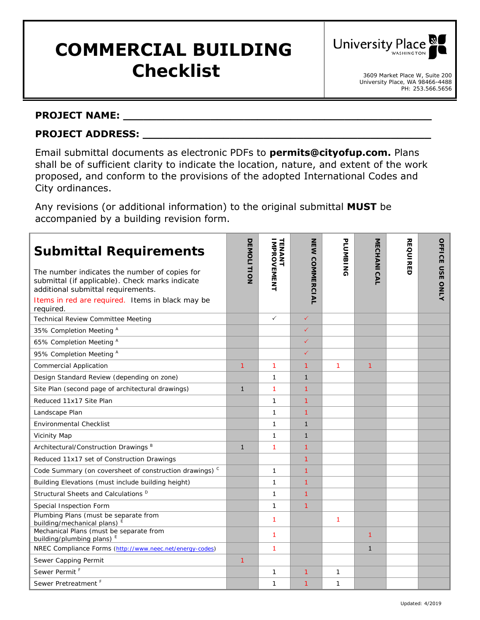# **COMMERCIAL BUILDING Checklist Checklist 1** 3609 Market Place W, Suite 200



### **PROJECT NAME: \_\_\_\_\_\_\_\_\_\_\_\_\_\_\_\_\_\_\_\_\_\_\_\_\_\_\_\_\_\_\_\_\_\_\_\_\_\_\_\_\_\_\_\_\_\_**

## **PROJECT ADDRESS: \_\_\_\_\_\_\_\_\_\_\_\_\_\_\_\_\_\_\_\_\_\_\_\_\_\_\_\_\_\_\_\_\_\_\_\_\_\_\_\_\_\_\_**

Email submittal documents as electronic PDFs to **permits@cityofup.com.** Plans shall be of sufficient clarity to indicate the location, nature, and extent of the work proposed, and conform to the provisions of the adopted International Codes and City ordinances.

Any revisions (or additional information) to the original submittal **MUST** be accompanied by a building revision form.

| <b>Submittal Requirements</b><br>The number indicates the number of copies for<br>submittal (if applicable). Check marks indicate<br>additional submittal requirements.<br>Items in red are required. Items in black may be<br>required. | <b>DEMOLITION</b> | TENANT<br><b>MPROVEMENT</b> | <b>NEW COMMERCIAL</b> | <b>PLUMBING</b> | MECHANICAL   | <b>REQUIRED</b> | <b>OFFICE</b><br><b>USE</b><br>ONLY |
|------------------------------------------------------------------------------------------------------------------------------------------------------------------------------------------------------------------------------------------|-------------------|-----------------------------|-----------------------|-----------------|--------------|-----------------|-------------------------------------|
| <b>Technical Review Committee Meeting</b>                                                                                                                                                                                                |                   | $\checkmark$                | $\checkmark$          |                 |              |                 |                                     |
| 35% Completion Meeting A                                                                                                                                                                                                                 |                   |                             | $\checkmark$          |                 |              |                 |                                     |
| 65% Completion Meeting A                                                                                                                                                                                                                 |                   |                             | ✓                     |                 |              |                 |                                     |
| 95% Completion Meeting A                                                                                                                                                                                                                 |                   |                             | ✓                     |                 |              |                 |                                     |
| <b>Commercial Application</b>                                                                                                                                                                                                            | 1                 | 1                           | 1                     | 1               | 1            |                 |                                     |
| Design Standard Review (depending on zone)                                                                                                                                                                                               |                   | $\mathbf{1}$                | $\mathbf{1}$          |                 |              |                 |                                     |
| Site Plan (second page of architectural drawings)                                                                                                                                                                                        | $\mathbf{1}$      | $\mathbf{1}$                | 1                     |                 |              |                 |                                     |
| Reduced 11x17 Site Plan                                                                                                                                                                                                                  |                   | $\mathbf{1}$                | $\mathbf{1}$          |                 |              |                 |                                     |
| Landscape Plan                                                                                                                                                                                                                           |                   | $\mathbf{1}$                | 1                     |                 |              |                 |                                     |
| <b>Environmental Checklist</b>                                                                                                                                                                                                           |                   | $\mathbf{1}$                | $\mathbf{1}$          |                 |              |                 |                                     |
| <b>Vicinity Map</b>                                                                                                                                                                                                                      |                   | $\mathbf{1}$                | $\mathbf{1}$          |                 |              |                 |                                     |
| Architectural/Construction Drawings <sup>B</sup>                                                                                                                                                                                         | $\mathbf{1}$      | $\mathbf{1}$                | 1                     |                 |              |                 |                                     |
| Reduced 11x17 set of Construction Drawings                                                                                                                                                                                               |                   |                             | $\mathbf{1}$          |                 |              |                 |                                     |
| Code Summary (on coversheet of construction drawings) <sup>c</sup>                                                                                                                                                                       |                   | $\mathbf{1}$                | $\mathbf{1}$          |                 |              |                 |                                     |
| Building Elevations (must include building height)                                                                                                                                                                                       |                   | $\mathbf{1}$                | 1                     |                 |              |                 |                                     |
| Structural Sheets and Calculations <sup>D</sup>                                                                                                                                                                                          |                   | 1                           | 1                     |                 |              |                 |                                     |
| Special Inspection Form                                                                                                                                                                                                                  |                   | $\mathbf{1}$                | $\mathbf{1}$          |                 |              |                 |                                     |
| Plumbing Plans (must be separate from<br>building/mechanical plans) <sup>E</sup>                                                                                                                                                         |                   | 1                           |                       | 1               |              |                 |                                     |
| Mechanical Plans (must be separate from<br>building/plumbing plans) E                                                                                                                                                                    |                   | 1                           |                       |                 | 1            |                 |                                     |
| NREC Compliance Forms (http://www.neec.net/energy-codes)                                                                                                                                                                                 |                   | 1                           |                       |                 | $\mathbf{1}$ |                 |                                     |
| Sewer Capping Permit                                                                                                                                                                                                                     | 1                 |                             |                       |                 |              |                 |                                     |
| Sewer Permit <sup>F</sup>                                                                                                                                                                                                                |                   | $\mathbf{1}$                | 1                     | 1               |              |                 |                                     |
| Sewer Pretreatment <sup>F</sup>                                                                                                                                                                                                          |                   | $\mathbf{1}$                | 1                     | 1               |              |                 |                                     |